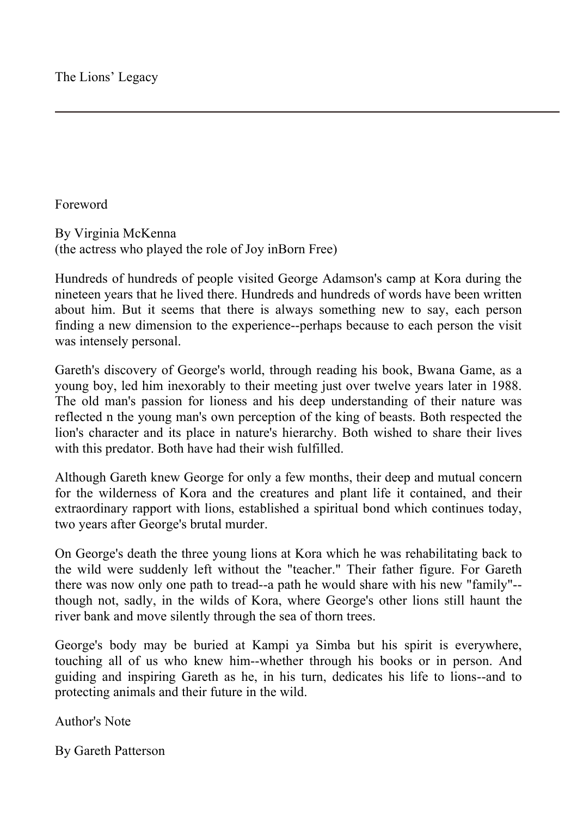Foreword

By Virginia McKenna (the actress who played the role of Joy inBorn Free)

Hundreds of hundreds of people visited George Adamson's camp at Kora during the nineteen years that he lived there. Hundreds and hundreds of words have been written about him. But it seems that there is always something new to say, each person finding a new dimension to the experience--perhaps because to each person the visit was intensely personal.

Gareth's discovery of George's world, through reading his book, Bwana Game, as a young boy, led him inexorably to their meeting just over twelve years later in 1988. The old man's passion for lioness and his deep understanding of their nature was reflected n the young man's own perception of the king of beasts. Both respected the lion's character and its place in nature's hierarchy. Both wished to share their lives with this predator. Both have had their wish fulfilled.

Although Gareth knew George for only a few months, their deep and mutual concern for the wilderness of Kora and the creatures and plant life it contained, and their extraordinary rapport with lions, established a spiritual bond which continues today, two years after George's brutal murder.

On George's death the three young lions at Kora which he was rehabilitating back to the wild were suddenly left without the "teacher." Their father figure. For Gareth there was now only one path to tread--a path he would share with his new "family"- though not, sadly, in the wilds of Kora, where George's other lions still haunt the river bank and move silently through the sea of thorn trees.

George's body may be buried at Kampi ya Simba but his spirit is everywhere, touching all of us who knew him--whether through his books or in person. And guiding and inspiring Gareth as he, in his turn, dedicates his life to lions--and to protecting animals and their future in the wild.

Author's Note

By Gareth Patterson